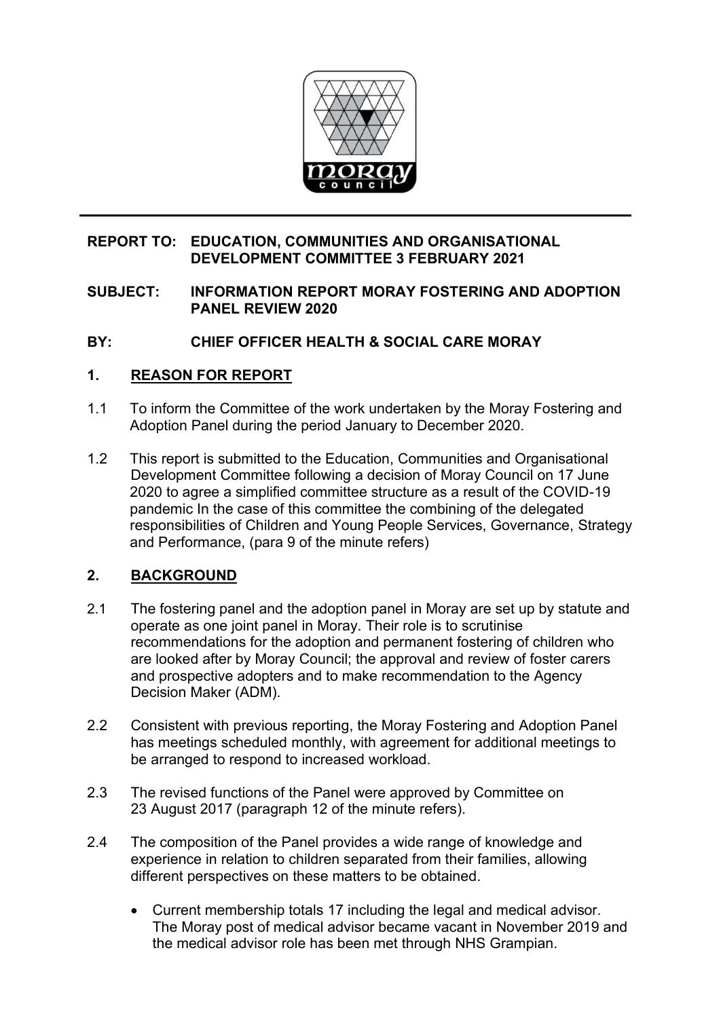

## **REPORT TO: EDUCATION, COMMUNITIES AND ORGANISATIONAL DEVELOPMENT COMMITTEE 3 FEBRUARY 2021**

### **SUBJECT: INFORMATION REPORT MORAY FOSTERING AND ADOPTION PANEL REVIEW 2020**

## **BY: CHIEF OFFICER HEALTH & SOCIAL CARE MORAY**

### **1. REASON FOR REPORT**

- 1.1 To inform the Committee of the work undertaken by the Moray Fostering and Adoption Panel during the period January to December 2020.
- 1.2 This report is submitted to the Education, Communities and Organisational Development Committee following a decision of Moray Council on 17 June 2020 to agree a simplified committee structure as a result of the COVID-19 pandemic In the case of this committee the combining of the delegated responsibilities of Children and Young People Services, Governance, Strategy and Performance, (para 9 of the minute refers)

## **2. BACKGROUND**

- 2.1 The fostering panel and the adoption panel in Moray are set up by statute and operate as one joint panel in Moray. Their role is to scrutinise recommendations for the adoption and permanent fostering of children who are looked after by Moray Council; the approval and review of foster carers and prospective adopters and to make recommendation to the Agency Decision Maker (ADM).
- 2.2 Consistent with previous reporting, the Moray Fostering and Adoption Panel has meetings scheduled monthly, with agreement for additional meetings to be arranged to respond to increased workload.
- 2.3 The revised functions of the Panel were approved by Committee on 23 August 2017 (paragraph 12 of the minute refers).
- 2.4 The composition of the Panel provides a wide range of knowledge and experience in relation to children separated from their families, allowing different perspectives on these matters to be obtained.
	- Current membership totals 17 including the legal and medical advisor. The Moray post of medical advisor became vacant in November 2019 and the medical advisor role has been met through NHS Grampian.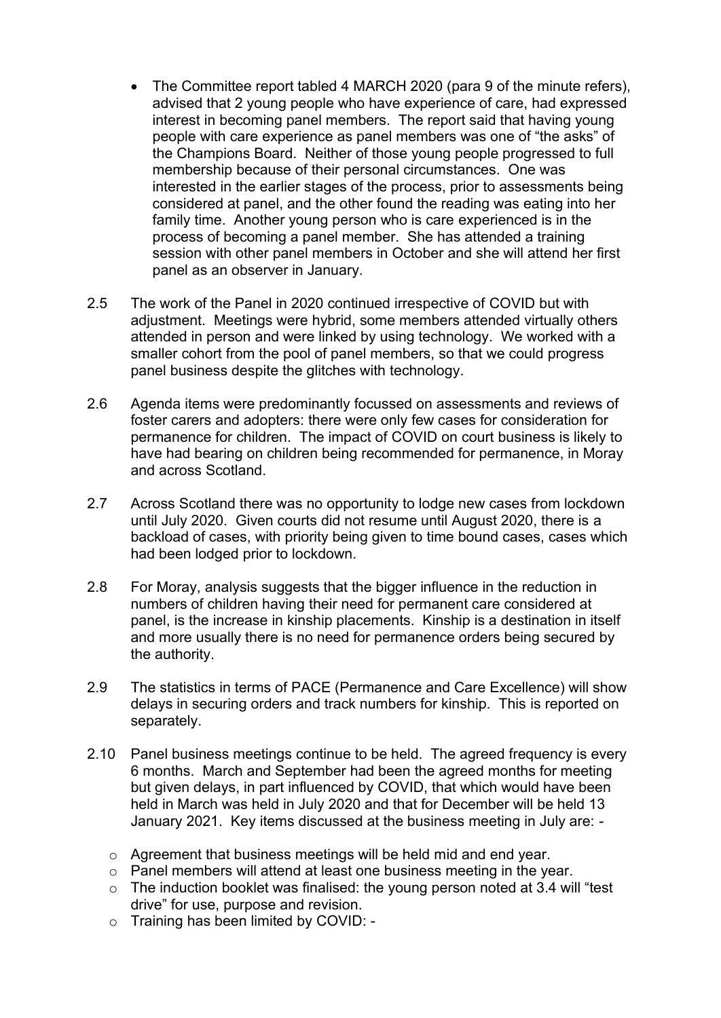- The Committee report tabled 4 MARCH 2020 (para 9 of the minute refers), advised that 2 young people who have experience of care, had expressed interest in becoming panel members. The report said that having young people with care experience as panel members was one of "the asks" of the Champions Board. Neither of those young people progressed to full membership because of their personal circumstances. One was interested in the earlier stages of the process, prior to assessments being considered at panel, and the other found the reading was eating into her family time. Another young person who is care experienced is in the process of becoming a panel member. She has attended a training session with other panel members in October and she will attend her first panel as an observer in January.
- 2.5 The work of the Panel in 2020 continued irrespective of COVID but with adjustment. Meetings were hybrid, some members attended virtually others attended in person and were linked by using technology. We worked with a smaller cohort from the pool of panel members, so that we could progress panel business despite the glitches with technology.
- 2.6 Agenda items were predominantly focussed on assessments and reviews of foster carers and adopters: there were only few cases for consideration for permanence for children. The impact of COVID on court business is likely to have had bearing on children being recommended for permanence, in Moray and across Scotland.
- 2.7 Across Scotland there was no opportunity to lodge new cases from lockdown until July 2020. Given courts did not resume until August 2020, there is a backload of cases, with priority being given to time bound cases, cases which had been lodged prior to lockdown.
- 2.8 For Moray, analysis suggests that the bigger influence in the reduction in numbers of children having their need for permanent care considered at panel, is the increase in kinship placements. Kinship is a destination in itself and more usually there is no need for permanence orders being secured by the authority.
- 2.9 The statistics in terms of PACE (Permanence and Care Excellence) will show delays in securing orders and track numbers for kinship. This is reported on separately.
- 2.10 Panel business meetings continue to be held. The agreed frequency is every 6 months. March and September had been the agreed months for meeting but given delays, in part influenced by COVID, that which would have been held in March was held in July 2020 and that for December will be held 13 January 2021. Key items discussed at the business meeting in July are:
	- o Agreement that business meetings will be held mid and end year.
	- o Panel members will attend at least one business meeting in the year.
	- $\circ$  The induction booklet was finalised: the young person noted at 3.4 will "test drive" for use, purpose and revision.
	- o Training has been limited by COVID: -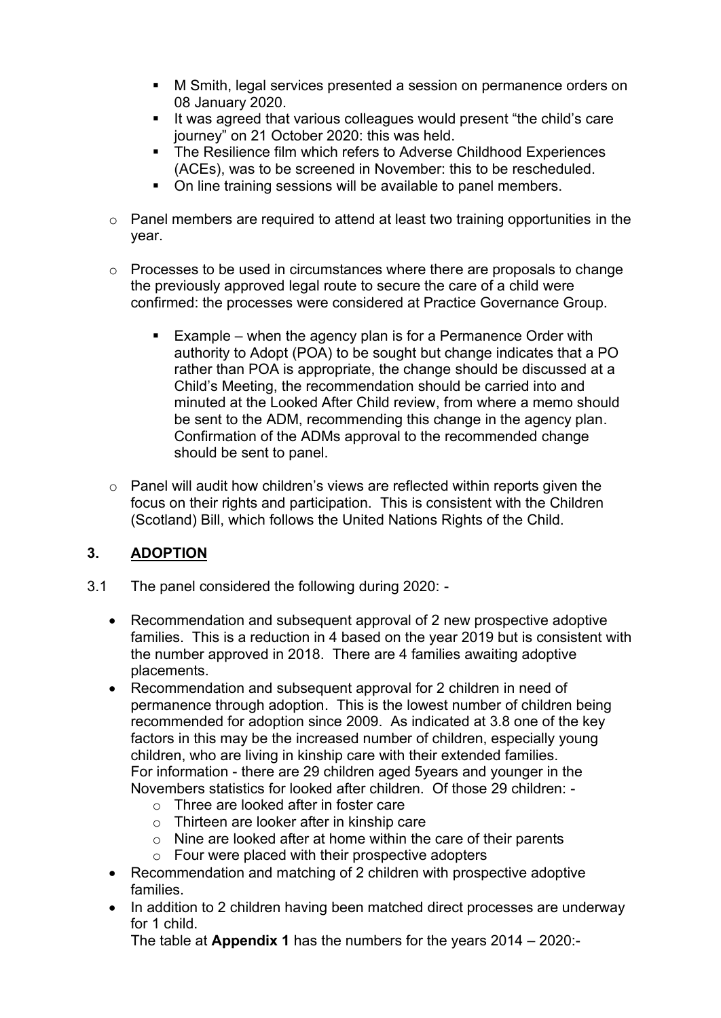- M Smith, legal services presented a session on permanence orders on 08 January 2020.
- It was agreed that various colleagues would present "the child's care journey" on 21 October 2020: this was held.
- The Resilience film which refers to Adverse Childhood Experiences (ACEs), was to be screened in November: this to be rescheduled.
- On line training sessions will be available to panel members.
- o Panel members are required to attend at least two training opportunities in the year.
- o Processes to be used in circumstances where there are proposals to change the previously approved legal route to secure the care of a child were confirmed: the processes were considered at Practice Governance Group.
	- Example when the agency plan is for a Permanence Order with authority to Adopt (POA) to be sought but change indicates that a PO rather than POA is appropriate, the change should be discussed at a Child's Meeting, the recommendation should be carried into and minuted at the Looked After Child review, from where a memo should be sent to the ADM, recommending this change in the agency plan. Confirmation of the ADMs approval to the recommended change should be sent to panel.
- o Panel will audit how children's views are reflected within reports given the focus on their rights and participation. This is consistent with the Children (Scotland) Bill, which follows the United Nations Rights of the Child.

## **3. ADOPTION**

- 3.1 The panel considered the following during 2020:
	- Recommendation and subsequent approval of 2 new prospective adoptive families. This is a reduction in 4 based on the year 2019 but is consistent with the number approved in 2018. There are 4 families awaiting adoptive placements.
	- Recommendation and subsequent approval for 2 children in need of permanence through adoption. This is the lowest number of children being recommended for adoption since 2009. As indicated at 3.8 one of the key factors in this may be the increased number of children, especially young children, who are living in kinship care with their extended families. For information - there are 29 children aged 5years and younger in the Novembers statistics for looked after children. Of those 29 children:
		- o Three are looked after in foster care
		- o Thirteen are looker after in kinship care
		- o Nine are looked after at home within the care of their parents
		- $\circ$  Four were placed with their prospective adopters
	- Recommendation and matching of 2 children with prospective adoptive families.
	- In addition to 2 children having been matched direct processes are underway for 1 child.

The table at **Appendix 1** has the numbers for the years 2014 – 2020:-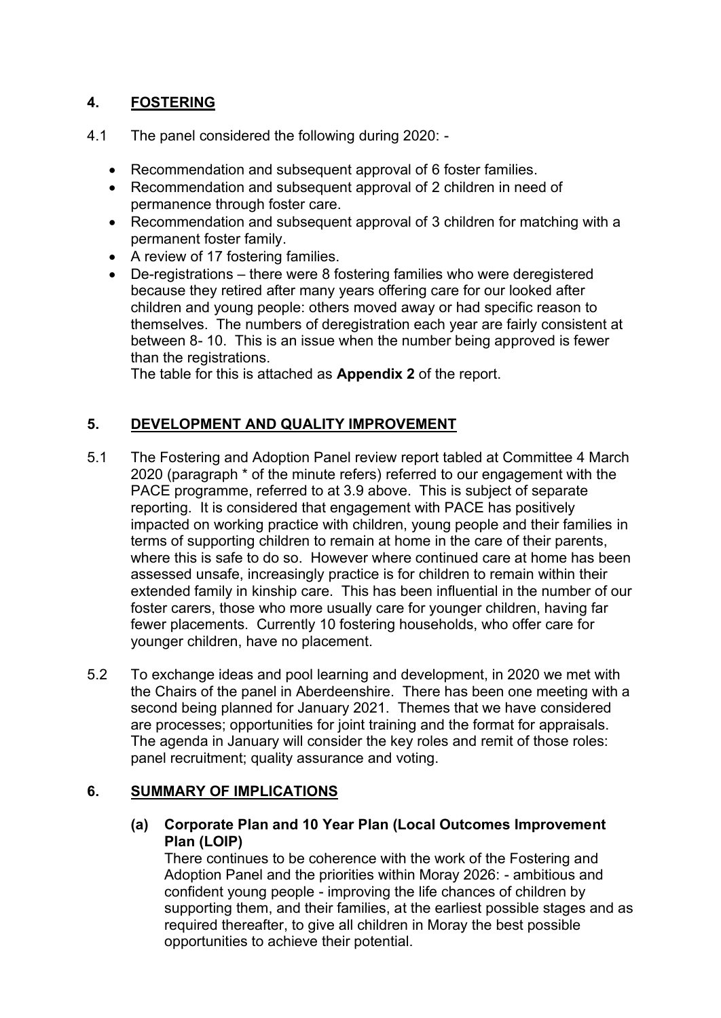# **4. FOSTERING**

- 4.1 The panel considered the following during 2020:
	- Recommendation and subsequent approval of 6 foster families.
	- Recommendation and subsequent approval of 2 children in need of permanence through foster care.
	- Recommendation and subsequent approval of 3 children for matching with a permanent foster family.
	- A review of 17 fostering families.
	- De-registrations there were 8 fostering families who were deregistered because they retired after many years offering care for our looked after children and young people: others moved away or had specific reason to themselves. The numbers of deregistration each year are fairly consistent at between 8- 10. This is an issue when the number being approved is fewer than the registrations.

The table for this is attached as **Appendix 2** of the report.

# **5. DEVELOPMENT AND QUALITY IMPROVEMENT**

- 5.1 The Fostering and Adoption Panel review report tabled at Committee 4 March 2020 (paragraph \* of the minute refers) referred to our engagement with the PACE programme, referred to at 3.9 above. This is subject of separate reporting. It is considered that engagement with PACE has positively impacted on working practice with children, young people and their families in terms of supporting children to remain at home in the care of their parents, where this is safe to do so. However where continued care at home has been assessed unsafe, increasingly practice is for children to remain within their extended family in kinship care. This has been influential in the number of our foster carers, those who more usually care for younger children, having far fewer placements. Currently 10 fostering households, who offer care for younger children, have no placement.
- 5.2 To exchange ideas and pool learning and development, in 2020 we met with the Chairs of the panel in Aberdeenshire. There has been one meeting with a second being planned for January 2021. Themes that we have considered are processes; opportunities for joint training and the format for appraisals. The agenda in January will consider the key roles and remit of those roles: panel recruitment; quality assurance and voting.

## **6. SUMMARY OF IMPLICATIONS**

**(a) Corporate Plan and 10 Year Plan (Local Outcomes Improvement Plan (LOIP)** 

There continues to be coherence with the work of the Fostering and Adoption Panel and the priorities within Moray 2026: - ambitious and confident young people - improving the life chances of children by supporting them, and their families, at the earliest possible stages and as required thereafter, to give all children in Moray the best possible opportunities to achieve their potential.